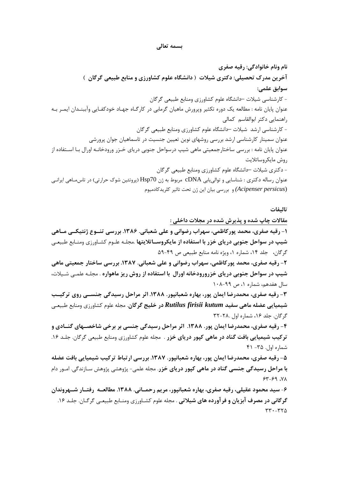## بسمه تعالى

نام ونام خانوادگی: رقیه صفری آخرین مدرک تحصیلی: دکتری شیلات ( دانشگاه علوم کشاورزی و منابع طبیعی گرگان ) سوابق علمے: - کارشناسی شیلات —دانشگاه علوم کشاورزی ومنابع طبیعی گرگان عنوان پایان نامه : مطالعه یک دوره تکثیر ویرورش ماهیان گرمابی در کارگـاه جهـاد خودکفـایی وآببنـدان ایمـر بـه راهنمایی دکتر ابوالقاسم کمالی - کارشناسی ارشد شیلات —دانشگاه علوم کشاورزی ومنابع طبیعی گرگان عنوان سمینار کارشناسی ارشد بررسی روشهای نوین تعیین جنسیت در تاسماهیان جوان پرورشی عنوان پایان نامه : بررسی ساختارجمعیتی ماهی شیپ درسواحل جنوبی دریای خـزر ورودخانـه اورال بـا اسـتفاده از روش مايكروساتلايت - دکتری شیلات –دانشگاه علوم کشاورزی ومنابع طبیعی گرگان عنوان رساله دکتری : شناسایی و توالی یابی cDNA مربوط به ژن Hsp70 (پروتئین شوک حرارتی) در تاس مـاهی ایرانـی (Acipenser persicus) و بررسی بیان این ژن تحت تاثیر کلریدکادمیوم

تالىفات

مقالات چاپ شده و پذیرش شده در مجلات داخلی :

۱- رقیه صفری، محمد پورکاظمی، سهراب رضوانی و علی شعبانی. ۱۳۸۶. بررسی تنـوع ژنتیکــی مـاهی شیپ در سواحل جنوبی دریای خزر با استفاده از مایکروســاتلایتها .مجلـه علـوم کشـاورزی ومنـابع طبیعـی گرگان، جلد ۱۴، شماره ۱، ویژه نامه منابع طبیعی ص ۴۹-۵۹

۲- رقیه صفری، محمد پورکاظمی، سهراب رضوانی و علی شعبانی. ۱۳۸۷. بررسی ساختار جمعیتی ماهی شیپ در سواحل جنوبی دریای خزرورودخانه اورال با استفاده از روش ریز ماهواره . مجلـه علمـی شـیلات، سال هفدهم، شماره ۰، ص ۹۹-۰۸

۳- رقیه صفری، محمدرضا ایمان پور، بهاره شعبانپور. ۱۳۸۸. اثر مراحل رسیدگی جنســی روی ترکیــب شيميايي عضله ماهي سفيد Rutilus firisii kutum در خليج گرگان. مجله علوم كشاورزي ومنابع طبيعـي گر گان. جلد ۱۶، شماره اول ۲۸۰-۳۲

۴- رقیه صفری، محمدرضا ایمان پور. ۱۳۸۸. اثر مراحل رسیدگی جنسی بر برخی شاخصـهای گنــادی و ترکیب شیمیایی بافت گناد در ماهی کپور دریای خزر . مجله علوم کشاورزی ومنابع طبیعی گرگان. جلـد ۱۶.  $f \wedge -T\Delta$ . (اول  $\Delta$ ۰۲

۵- رقیه صفری، محمدرضا ایمان پور، بهاره شعبانیور. ۱۳۸۷. بررسی ارتباط ترکیب شیمیایی بافت عضله **با مراحل رسیدگی جنسی گناد در ماهی کپور دریای خزر**. مجله علمی- پژوهشی پژوهش سـازندگی. امـور دام  $XY-99.$ 

۶- سید محمود عقیلی، رقیه صفری، بهاره شعبانپور، مریم رحمــانی. ۱۳۸۸. مطالعــه رفتــار شــهروندان گرگانی در مصرف آبزیان و فرآورده های شیلاتی . مجله علوم کشـاورزی ومنـابع طبیعـی گرگـان. جلـد ۱۶.  $rr -rr\Delta$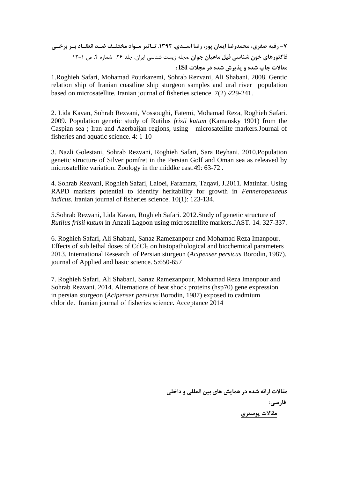**K K K:
 KA eK'f 
K YK .1392 . K6
 A D< 3"
 A D 7-**  Q1-12 4 . 0 26 . 16 .
!\$! :;\$ #L**. 3
P 3J Q^ 6-& 3 J'(^ : ISI \$%>  1& =";< 1& 78 \$9:** 

1.Roghieh Safari, Mohamad Pourkazemi, Sohrab Rezvani, Ali Shabani. 2008. Gentic relation ship of Iranian coastline ship sturgeon samples and ural river population based on microsatellite. Iranian journal of fisheries science. 7(2) :229-241.

2. Lida Kavan, Sohrab Rezvani, Vossoughi, Fatemi, Mohamad Reza, Roghieh Safari. 2009. Population genetic study of Rutilus *frisii kutum* (Kamansky 1901) from the Caspian sea ; Iran and Azerbaijan regions, using microsatellite markers.Journal of fisheries and aquatic science. 4: 1-10

3. Nazli Golestani, Sohrab Rezvani, Roghieh Safari, Sara Reyhani. 2010.Population genetic structure of Silver pomfret in the Persian Golf and Oman sea as releaved by microsatellite variation. Zoology in the middke east.49: 63-72 .

4. Sohrab Rezvani, Roghieh Safari, Laloei, Faramarz, Taqavi, J.2011. Matinfar. Using RAPD markers potential to identify heritability for growth in *Fenneropenaeus indicus*. Iranian journal of fisheries science. 10(1): 123-134.

5.Sohrab Rezvani, Lida Kavan, Roghieh Safari. 2012.Study of genetic structure of *Rutilus frisii kutum* in Anzali Lagoon using microsatellite markers.JAST. 14. 327-337.

6. Roghieh Safari, Ali Shabani, Sanaz Ramezanpour and Mohamad Reza Imanpour. Effects of sub lethal doses of  $CdCl<sub>2</sub>$  on histopathological and biochemical parameters 2013. International Research of Persian sturgeon (*Acipenser persicus* Borodin, 1987). journal of Applied and basic science. 5:650-657

7. Roghieh Safari, Ali Shabani, Sanaz Ramezanpour, Mohamad Reza Imanpour and Sohrab Rezvani. 2014. Alternations of heat shock proteins (hsp70) gene expression in persian sturgeon (*Acipenser persicus* Borodin, 1987) exposed to cadmium chloride. Iranian journal of fisheries science. Acceptance 2014

> مقالات ارائه شده در همایش های بین المللی و داخلی **فارسي:** مقالات يوستري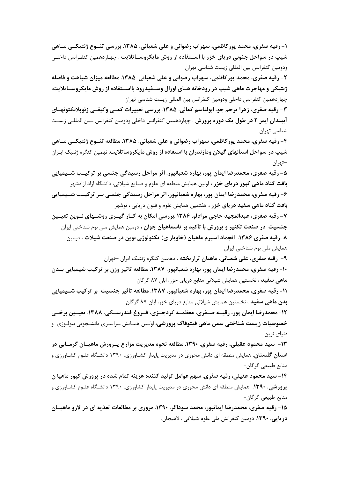۱- رقیه صفری، محمد پورکاظمی، سهراب رضوانی و علی شعبانی. ۱۳۸۵. بررسی تنسوع ژنتیکسی مساهی شیپ در سواحل جنوبی دریای خزر با اســتفاده از روش مایکروســاتلایت . چهـاردهمین کنفـرانس داخلـی ودومین کنفرانس بین المللی زیست شناسی تهران

۲- رقیه صفری، محمد پورکاظمی، سهراب رضوانی و علی شعبانی. ۱۳۸۵. مطالعه میزان شباهت و فاصله ژنتیکی و مهاجرت ماهی شبپ در رودخانه هـای اورال وســفیدرود بااســتفاده از روش مایکروســاتلایت، چهاردهمین کنفرانس داخلی ودومین کنفرانس بین المللی زیست شناسی تهران

٣- رقيه صفري، زهرا ترحم جو، ابولقاسم كمالي. ١٣٨۵. بررسي تغييرات كمـبي وكيفـبي زئويلانكتونهـاي **آببندان ایمر ۲ در طول یک دوره پرورش** . چهاردهمین کنفرانس داخلی ودومین کنفرانس بـین المللـی زیسـت شناسی تهران

۴- رقيه صفري، محمد پورکاظمي، سهراب رضواني و علي شعباني. ۱۳۸۵. مطالعه تنسوع ژنتيکــي مــاهي شیپ در سواحل استانهای گیلان ومازندران با استفاده از روش مایکروساتلایت. نهمین کنگره ژنتیک ایـران –تهران

۵- رقیه صفری، محمدرضا ایمان پور، بهاره شعبانپور. اثر مراحل رسیدگی جنسی بر ترکیـب شــیمیایی **بافت گناد ماهی کیور دریای خزر ،** اولین همایش منطقه ای علوم و صنایع شیلاتی، دانشگاه ازاد ازادشهر ۶- رقیه صفری، محمدرضا ایمان پور، بهاره شعبانپور. اثر مراحل رسیدگی جنسی بـر ترکیـب شــیمیایی

**بافت گناد ماهی سفید دریای خزر ،** هفتمین همایش علوم و فنون دریایی ، نوشهر ۷- رقیه صفری، عبدالمجید حاجی مرادلو. ۱۳۸۶ .بررسی امکان به کــار گیــری روشــهای نــوین تعیــین جنسیت در صنعت تکثیر و پرورش با تاکید بر تاسماهیان جوان ، دومین همایش ملی بوم شناختی ایران

۸-رقیه صفری.۱۳۸۶. انجماد اسپرم ماهیان (خاویار ی) تکنولوژی نوین در صنعت شیلات ، دومین همایش ملی بوم شناختی ایران

**۹- رقیه صفری، علی شعبانی. ماهیان تراریخته ،** دهمین کنگره ژنتیک ایران –تهران

۱۰- رقیه صفری، محمدرضا ایمان پور، بهاره شعبانپور. ۱۳۸۷. مطالعه تاثیر وزن بر ترکیب شیمیایی بــدن **ماهی سفید ،** نخستین همایش شیلاتی منابع دریای خزر، ابان ۸۷ گرگان

١١- رقيه صفري، محمدرضا ايمان پور، بهاره شعبانپور. ١٣٨٧. مطالعه تاثير جنسيت بر تركيب شــيميايي بدن ماهی سفید ، نخستین همایش شیلاتی منابع دریای خزر، ابان ۸۷ گرگان

١٢- محمدرضا ايمان پور، رقيـــه صــفري، معظمـــه كردجــزي، فــروغ فندرســكي. ١٣٨٨. تعيــين برخــي **خصوصیات زیست شناختی سمن ماهی فیتوفاگ پرورشی،** اولـین همـایش سراسـری دانشـجویی بیولـوژی و دنیای نوین

۱۳- سید محمود عقیلی، رقیه صفری. ۱۳۹۰. مطالعه نحوه مدیریت مزارع پـرورش ماهیــان گرمــابی در **استان گلستان**. همایش منطقه ای دانش محوری در مدیریت پایدار کشـاورزی. ۱۳۹۰ دانشـگاه علـوم کشـاورزی و منابع طبیعی گرگان-

۱۴– سيد محمود عقيلي، رقيه صفري. سهم عوامل توليد كننده هزينه تمام شده در پرورش كيور ماهيا ن پرورشی. ۱۳۹۰. همایش منطقه ای دانش محوری در مدیریت پایدار کشاورزی. ۱۳۹۰ دانشگاه علـوم کشـاورزی و منابع طبیعی گرگان-

۱۵- رقیه صفری، محمدرضا ایمانیور، محمد سوداگر. ۱۳۹۰. مروری بر مطالعات تغذیه ای در لارو ماهیـان دریایی. ۱۳۹۰. دومین کنفرانش ملی علوم شیلاتی . لاهیجان.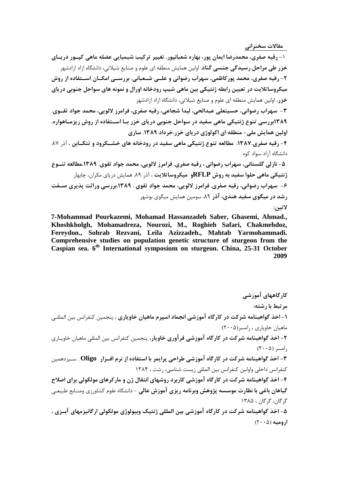**مقالات سخنراني** 

۱- رقیه صفری، محمدرضا ایمان پور، بهاره شعبانپور. تغییر ترکیب شیمیایی عضله ماهی کپـور دریـای **خزر طی مراحل رسیدگی جنسی گناد**. اولین همایش منطقه ای علوم و صنایع شیلاتی، دانشگاه ازاد ازادشهر ۲- رقیه صفری، محمد پورکاظمی، سهراب رضوانی و علــی شــعبانی. بررســی امکــان اســتفاده از روش میکروساتلایت در تعیین رابطه ژنتیکی بین ماهی شیپ رودخانه اورال و نمونه های سواحل جنوبی دریای **خزر**. اولین همایش منطقه ای علوم و صنایع شیلاتی، دانشگاه ازاد ازادشهر ۳- سهراب رضوانی، حسینعلی عبدالحی، لیدا شجاعی، رقیه صفری، فرامرز لالویی، محمد جواد تقــوی. ۱۳۸۹بررسی تنوع ژنتیکی ماهی سفید در سواحل جنوبی دریای خزر بـا اســتفاده از روش ریزمــاهواره. اولین همایش ملی- منطقه ای اکولوژی دریای خزر.خرداد ۱۳۸۹. ساری ۴- رقیه صفری.۱۳۸۷. مطالعه تنوع ژنتیکی ماهی سفید در رودخانه های خشــکرود و تنکــابن ، آذر ۸۷. دانشگاه آزاد سواد کوه ۵- نازلی گلستانی، سهراب رضوانی ، رقیه صفری. فرامرز لالویی، محمد جواد تقوی. ۱۳۸۹.مطالعه تنــوع **ژنتیکی ماهی حلوا سفید به روش RFLPو میکروساتلایت ،** آذر ۸۹. همایش دریای مکران، چابهار ۶- سهراب رضوانی، رقیه صفری. فرامرز لالویی، محمد جواد تقوی . ۱۳۸۹.بررسی وراثت پذیری صــفت **رشد در میگوی سفید هندی، آذر** ۸۹. سومین همایش میگوی بوشهر لاتين:

**7-Mohammad Pourkazemi, Mohamad Hassanzadeh Saber, Ghasemi, Ahmad., Khoshkholgh, Mohamadreza, Nourozi, M., Roghieh Safari, Chakmehdoz, Fereydon., Sohrab Rezvani, Leila Azizzadeh., Mahtab Yarmohammadi. Comprehensive studies on population genetic structure of sturgeon from the Caspian sea. 6th International symposium on sturgeon. China, 25-31 October 2009**

کارگاههای آموزش*ی* مر تبط با رشته: **۱– اخذ گواهینامه شرکت در کارگاه آموزشی انجماد اسپرم ماهیان خاویاری ،** پنجمین کنفرانس بین المللـی  $(Y \cdot \alpha)$ ماهیان خاویاری ، رامسر **۲**– ا**خذ گواهینامه شرکت در کارگاه آموزشی فرآوری خاویار،** پنجمین کنفرانس بین المللی ماهیان خاویـاری  $( \mathsf{Y} \cdot \cdot \mathsf{\Delta} )$  أمسر), **۳**- اخذ گواهینامه شرکت در کارگاه آموزشی طراحی پرایمر با استفاده از نرم افــزار Oligo . ســیزدهمین کنفرانس داخلی واولین کنفرانس بین المللی زیست شناسی، رشت ، ۱۳۸۴ ۴- اخذ گواهینامه شرکت در کارگاه آموزشی کاربرد روشهای انتقال ژن و مارکرهای مولکولی برای اصلاح گی**اهان باغی با نظارت موسسه پژوهش وبرنامه ریزی آموزش عالی** – دانشگاه علوم کشاورزی ومنـابع طبیعـی گ گان، گ گان ، ۱۳۸۵ ۵– اخذ گواهینامه شرکت در کارگاه آموزشی بین المللی ژنتیک وبیولوژی مولکولی ارگانیزمهای آبــزی ، **ا<sub>دوميه (۲۰۰۵)**</sub>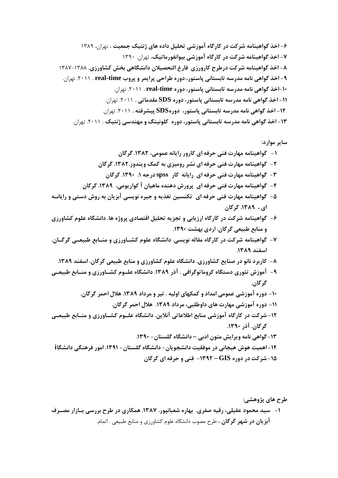1389 M
!5+ M **]P j'M J 1
 Q &. # 1(  ](& -J
 ; 6-**  1390 .
!5+ M**j &. # 1(  ](& -J
 ; 7-**  1387-1388 **../( gf J2/
 3%'- m^ .( r+ ](& -J
 ; 8-**  . 
!5+ .2011 . **real-time B< "
< R
+ 1 D'6< ' 6 J
 ; 9-**  . 
!5+ .2011 **. real-time 1 D'6< ' 6 J
 ; 10-** . 
!5+ .2011 **. : SDS 1 D'6< ' 6 J
 ; 11-** .
!5+ .2011 **. '^/< SDS1 D'6< ' 6 J ;
 12-**  . 
!5+ .2011 . **j'M 6-C u-( 1 D'6< ' 6 J
 ; 13-** 

**: 
 "6**

**3 .1382 D 0 "
 ( 
 ^R -^ \$C -J 1 - 3 .1382..-" j( O / 
 ^R -^ \$C -J 2- 3 .1390 1 . P spss ( "

 ^R -^ \$C -J 3 - 3 .1389 D "
( # 3J 1-J =< 
 ^R -^ \$C -J 4 - K"
 '6 = 3"O # " 1P ";i ! -L 
 ^R -^ \$C -J 5- 3 .1389 D ./( 0 12/
 .J 1M< '
 Q "O> ".
 1(  ](& -J 6 - .1390 ]/C 
 .3 \*+ , - . 3K K\*+ , K- .K/( 0 12/
 . " -: 1(  ](& -J 7 - . 1389 -6 . 1389 -6
 .3 \*+ , - ./( 0 12/
 . ./( ,"-   ( 8- K\*+ , K- .K/( K0 12/
 .1389 p# . ^
 ( 12'6 v =. # 9- . 3 . 3 R
 V%J .1389 
 . - CL( 

 0 &. # 1 10 - .3 R
 V%J .1389 
 D\*+
 J \$C &. # 1 11- K\*+ , K- .K/( K0 12/
 .!"%# 0%+
 , - &. # 1(  ](& 12- .1390 p# .3 .1390 - 3' 12/
 – 
 3' g"
" J 13 i 2/
 2-J^ 
 .1391 - 3' 12/
 - 3">/
 ]:^  >J =J ]J 14- 3 
 ^R -^ - 1392 – GIS 1  ](& 15 -**

طرح ها**ی پژوهشی:** ۱- سید محمود عقیلی، رقیه صفری. بهاره شعبانپور. ۱۳۸۷. همکاری در طرح بررسی بــازار مصــرف **آبزیان در شهر گرگان** ، طرح مصوب دانشگاه علوم کشاورزی و منابع طبیعی . اتمام.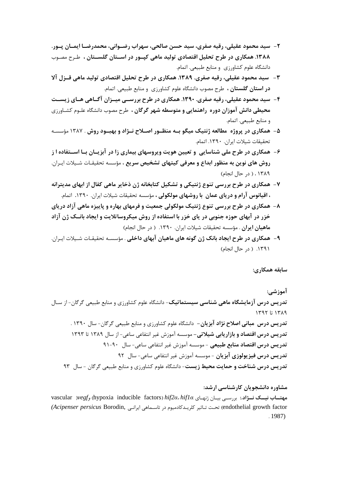- ٢- سيد محمود عقيلي، رقيه صفري، سيد حسن صالحي، سهراب رضـواني، محمدرضـا ايمـان پـور. ۱۳۸۸. همکاری در طرح تحلیل اقتصادی تولید ماهی کپـور در اسـتان گلسـتان ، طـرح مصـوب دانشگاه علوم کشاورزی و منابع طبیعی. اتمام.
- ٣- سيد محمود عقيلي، رقيه صفري. ١٣٨٩. همكاري در طرح تحليل اقتصادي توليد ماهي قــزل آلا **در استان گلستان ،** طرح مصوب دانشگاه علوم کشاورزی و منابع طبیعی. اتمام.
- ۴- سید محمود عقیلی، رقیه صفری. ۱۳۹۰. همکاری در طرح بررســی میــزان آگــاهی هــای زیســت محیطی دانش آموزان دوره راهنمایی و متوسطه شهر گرگان ، طرح مصوب دانشگاه علـوم کشـاورزی و منابع طبيعي. اتمام.
- ۵- همکاری در پروژه مطالعه ژنتیک میگو بـه منظـور اصـلاح نـژاد و بهبـود روش . ۱۳۸۷ مؤسسـه تحقيقات شيلات ايران. ١٣٩٠. اتمام.
- ۶- همکاری در طرح ملی شناسایی و تعیین هویت ویروسهای بیماری زا در آبزیــان بــا اســتفاده ا ز روش های نوین به منظور ابداع و معرفی کیتهای تشخیص سریع ، مؤسسه تحقیقـات شـیلات ایـران. ١٣٨٩. ( در حال انجام)
- ۷- همکاری در طرح بررسی تنوع ژنتیکی و تشکیل کتابخانه ژن ذخایر ماهی کفال از ابهای مدیترانه ، اقیانوس آرام و دریای عمان با روشهای مولکولی ، مؤسسه تحقیقات شیلات ایران. ۱۳۹۰. اتمام.
- ۸- همکاری در طرح بررسی تنوع ژنتیک مولکولی جمعیت و فرمهای بهاره و پاییزه ماهی آزاد دریای خزر در آبهای حوزه جنوبی در پای خزر با استفاده از روش میکروساتلایت و ایجاد بانــک ژن آزاد ماهیان ایران . مؤسسه تحقیقات شیلات ایران. ۱۳۹۰. ( در حال انجام)
- ۹- همکاری در طرح ایجاد بانک ژن گونه های ماهیان آبهای داخلی . مؤسسـه تحقیقـات شـیلات ایـران. ۱۳۹۱. ( در حال انجام)

سابقه همکاری:

آموزشي: تدریس درس آزمایشگاه ماهی شناسی سیستماتیک- دانشگاه علوم کشاورزی و منابع طبیعی گرگان- از سـال  $149767$   $1719$ تدریس درس مبانی اصلاح نژاد آبزیان- دانشگاه علوم کشاورزی و منابع طبیعی گرگان- سال ۱۳۹۰ . تدریس درس اقتصاد و بازاریابی شیلاتی- موسسه آموزش غیر انتفاعی ساعی- از سال ۱۳۸۹ تا ۱۳۹۳ تدريس درس اقتصاد منابع طبيعي - موسسه آموزش غير انتفاعي ساعي- سال ٩٠-٩١ <mark>تدریس درس فیزیولوزی آبزیان</mark> - موسسه آموزش غیر انتفاعی ساعی- سال ۹۲ تدریس درس شناخت و حمایت محیط زیست- دانشگاه علوم کشاورزی و منابع طبیعی گرگان - سال ۹۳

مشاوره دانشجویان کارشناسی ارشد:

vascular vegf, (hypoxia inducible factors) hif2a. hif1a ابررسی بیان ژنهای vascular vegf, (hypoxia inducible factors) hif2a. hif1a endothelial growth factor) تحت تـاثير كلريـدكادميوم در تاسـماهي ايرانـي (Acipenser persicus Borodin,  $.1987$